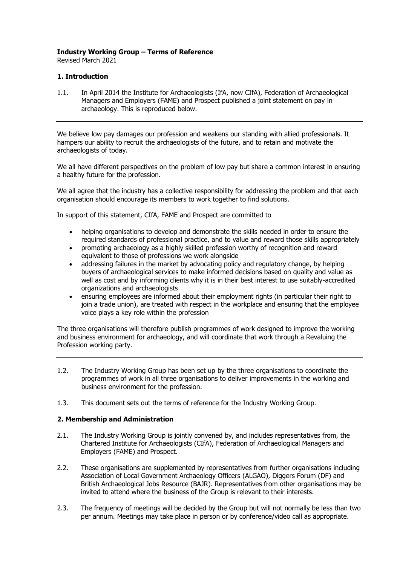## **Industry Working Group – Terms of Reference**

Revised March 2021

## **1. Introduction**

1.1. In April 2014 the Institute for Archaeologists (IfA, now CIfA), Federation of Archaeological Managers and Employers (FAME) and Prospect published a joint statement on pay in archaeology. This is reproduced below.

We believe low pay damages our profession and weakens our standing with allied professionals. It hampers our ability to recruit the archaeologists of the future, and to retain and motivate the archaeologists of today.

We all have different perspectives on the problem of low pay but share a common interest in ensuring a healthy future for the profession.

We all agree that the industry has a collective responsibility for addressing the problem and that each organisation should encourage its members to work together to find solutions.

In support of this statement, CIfA, FAME and Prospect are committed to

- helping organisations to develop and demonstrate the skills needed in order to ensure the required standards of professional practice, and to value and reward those skills appropriately
- promoting archaeology as a highly skilled profession worthy of recognition and reward equivalent to those of professions we work alongside
- addressing failures in the market by advocating policy and regulatory change, by helping buyers of archaeological services to make informed decisions based on quality and value as well as cost and by informing clients why it is in their best interest to use suitably-accredited organizations and archaeologists
- ensuring employees are informed about their employment rights (in particular their right to join a trade union), are treated with respect in the workplace and ensuring that the employee voice plays a key role within the profession

The three organisations will therefore publish programmes of work designed to improve the working and business environment for archaeology, and will coordinate that work through a Revaluing the Profession working party.

- 1.2. The Industry Working Group has been set up by the three organisations to coordinate the programmes of work in all three organisations to deliver improvements in the working and business environment for the profession.
- 1.3. This document sets out the terms of reference for the Industry Working Group.

## **2. Membership and Administration**

- 2.1. The Industry Working Group is jointly convened by, and includes representatives from, the Chartered Institute for Archaeologists (CIfA), Federation of Archaeological Managers and Employers (FAME) and Prospect.
- 2.2. These organisations are supplemented by representatives from further organisations including Association of Local Government Archaeology Officers (ALGAO), Diggers Forum (DF) and British Archaeological Jobs Resource (BAJR). Representatives from other organisations may be invited to attend where the business of the Group is relevant to their interests.
- 2.3. The frequency of meetings will be decided by the Group but will not normally be less than two per annum. Meetings may take place in person or by conference/video call as appropriate.